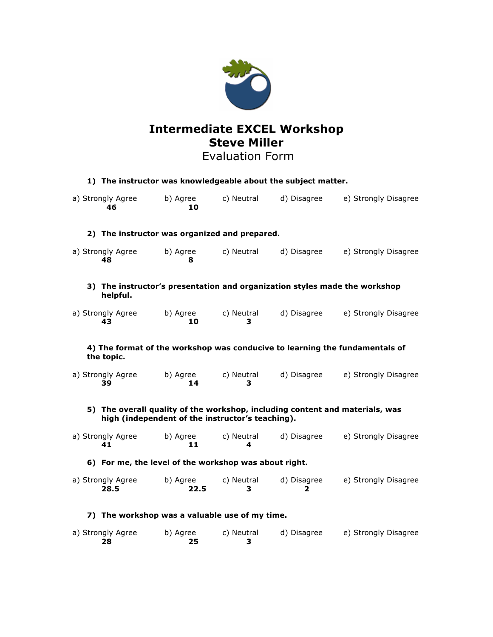

# **Intermediate EXCEL Workshop Steve Miller**

# Evaluation Form

| 1) The instructor was knowledgeable about the subject matter.                                                                    |                  |                 |                  |                      |
|----------------------------------------------------------------------------------------------------------------------------------|------------------|-----------------|------------------|----------------------|
| a) Strongly Agree<br>46                                                                                                          | b) Agree<br>10   | c) Neutral      | d) Disagree      | e) Strongly Disagree |
| 2) The instructor was organized and prepared.                                                                                    |                  |                 |                  |                      |
| a) Strongly Agree<br>48                                                                                                          | b) Agree<br>8    | c) Neutral      | d) Disagree      | e) Strongly Disagree |
| 3) The instructor's presentation and organization styles made the workshop<br>helpful.                                           |                  |                 |                  |                      |
| a) Strongly Agree<br>43                                                                                                          | b) Agree<br>10   | c) Neutral<br>з | d) Disagree      | e) Strongly Disagree |
| 4) The format of the workshop was conducive to learning the fundamentals of<br>the topic.                                        |                  |                 |                  |                      |
| a) Strongly Agree<br>39                                                                                                          | b) Agree<br>14   | c) Neutral<br>з | d) Disagree      | e) Strongly Disagree |
| 5) The overall quality of the workshop, including content and materials, was<br>high (independent of the instructor's teaching). |                  |                 |                  |                      |
| a) Strongly Agree<br>41                                                                                                          | b) Agree<br>11   | c) Neutral<br>4 | d) Disagree      | e) Strongly Disagree |
| 6) For me, the level of the workshop was about right.                                                                            |                  |                 |                  |                      |
| a) Strongly Agree<br>28.5                                                                                                        | b) Agree<br>22.5 | c) Neutral<br>3 | d) Disagree<br>2 | e) Strongly Disagree |
| 7) The workshop was a valuable use of my time.                                                                                   |                  |                 |                  |                      |
| a) Strongly Agree<br>28                                                                                                          | b) Agree<br>25   | c) Neutral<br>з | d) Disagree      | e) Strongly Disagree |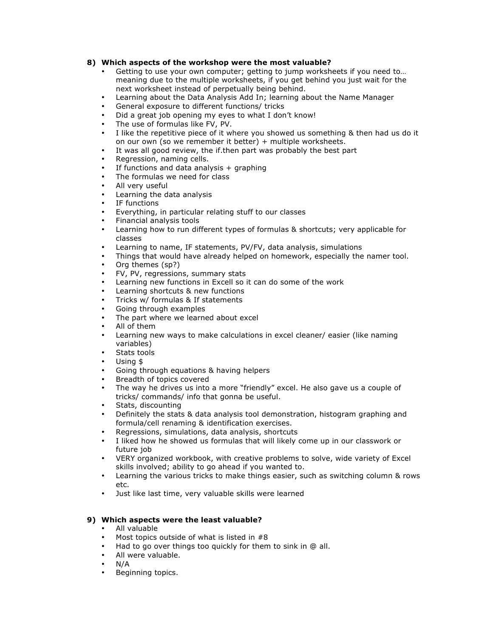### **8) Which aspects of the workshop were the most valuable?**

- Getting to use your own computer; getting to jump worksheets if you need to... meaning due to the multiple worksheets, if you get behind you just wait for the next worksheet instead of perpetually being behind.
- Learning about the Data Analysis Add In; learning about the Name Manager
- General exposure to different functions/ tricks
- Did a great job opening my eyes to what I don't know!
- The use of formulas like FV, PV.
- I like the repetitive piece of it where you showed us something & then had us do it on our own (so we remember it better) + multiple worksheets.
- It was all good review, the if then part was probably the best part
- Regression, naming cells.
- If functions and data analysis  $+$  graphing
- The formulas we need for class
- All very useful
- Learning the data analysis
- IF functions
- Everything, in particular relating stuff to our classes
- Financial analysis tools
- Learning how to run different types of formulas & shortcuts; very applicable for classes
- Learning to name, IF statements, PV/FV, data analysis, simulations
- Things that would have already helped on homework, especially the namer tool.
- Org themes (sp?)
- FV, PV, regressions, summary stats
- Learning new functions in Excell so it can do some of the work
- Learning shortcuts & new functions
- Tricks w/ formulas & If statements
- Going through examples
- The part where we learned about excel
- All of them
- Learning new ways to make calculations in excel cleaner/ easier (like naming variables)
- Stats tools
- Using \$
- Going through equations & having helpers
- Breadth of topics covered
- The way he drives us into a more "friendly" excel. He also gave us a couple of tricks/ commands/ info that gonna be useful.
- Stats, discounting
- Definitely the stats & data analysis tool demonstration, histogram graphing and formula/cell renaming & identification exercises.
- Regressions, simulations, data analysis, shortcuts
- I liked how he showed us formulas that will likely come up in our classwork or future job
- VERY organized workbook, with creative problems to solve, wide variety of Excel skills involved; ability to go ahead if you wanted to.
- Learning the various tricks to make things easier, such as switching column & rows etc.
- Just like last time, very valuable skills were learned

# **9) Which aspects were the least valuable?**

- All valuable
- Most topics outside of what is listed in  $#8$
- Had to go over things too quickly for them to sink in @ all.
- All were valuable.
- $N/A$
- Beginning topics.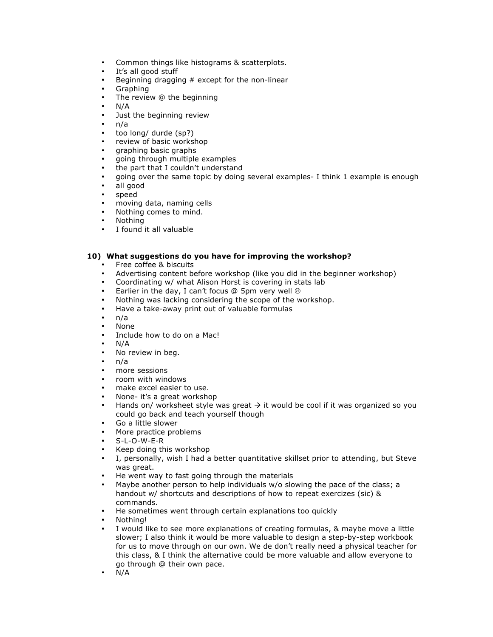- Common things like histograms & scatterplots.
- It's all good stuff
- Beginning dragging  $#$  except for the non-linear
- Graphing
- The review @ the beginning
- $N/A$ <br>•  $l$
- Just the beginning review
- n/a
- too long/ durde (sp?)
- review of basic workshop
- graphing basic graphs
- going through multiple examples
- the part that I couldn't understand
- going over the same topic by doing several examples- I think 1 example is enough
- all good
- speed
- moving data, naming cells
- Nothing comes to mind.
- Nothing
- I found it all valuable

## **10) What suggestions do you have for improving the workshop?**

- Free coffee & biscuits
- Advertising content before workshop (like you did in the beginner workshop)<br>• Coordinating w/ what Alison Horst is covering in stats lab
- Coordinating w/ what Alison Horst is covering in stats lab
- Earlier in the day, I can't focus  $@$  5pm very well  $@$
- Nothing was lacking considering the scope of the workshop.
- Have a take-away print out of valuable formulas
- n/a
- None
- Include how to do on a Mac!
- $N/A$
- No review in beg.
- n/a
- more sessions
- room with windows
- make excel easier to use.
- None- it's a great workshop
- Hands on/ worksheet style was great  $\rightarrow$  it would be cool if it was organized so you could go back and teach yourself though
- Go a little slower
- More practice problems
- S-L-O-W-E-R
- Keep doing this workshop
- I, personally, wish I had a better quantitative skillset prior to attending, but Steve was great.
- He went way to fast going through the materials
- Maybe another person to help individuals w/o slowing the pace of the class; a handout w/ shortcuts and descriptions of how to repeat exercizes (sic) & commands.
- He sometimes went through certain explanations too quickly
- Nothing!
- I would like to see more explanations of creating formulas, & maybe move a little slower; I also think it would be more valuable to design a step-by-step workbook for us to move through on our own. We de don't really need a physical teacher for this class, & I think the alternative could be more valuable and allow everyone to go through @ their own pace.
- N/A